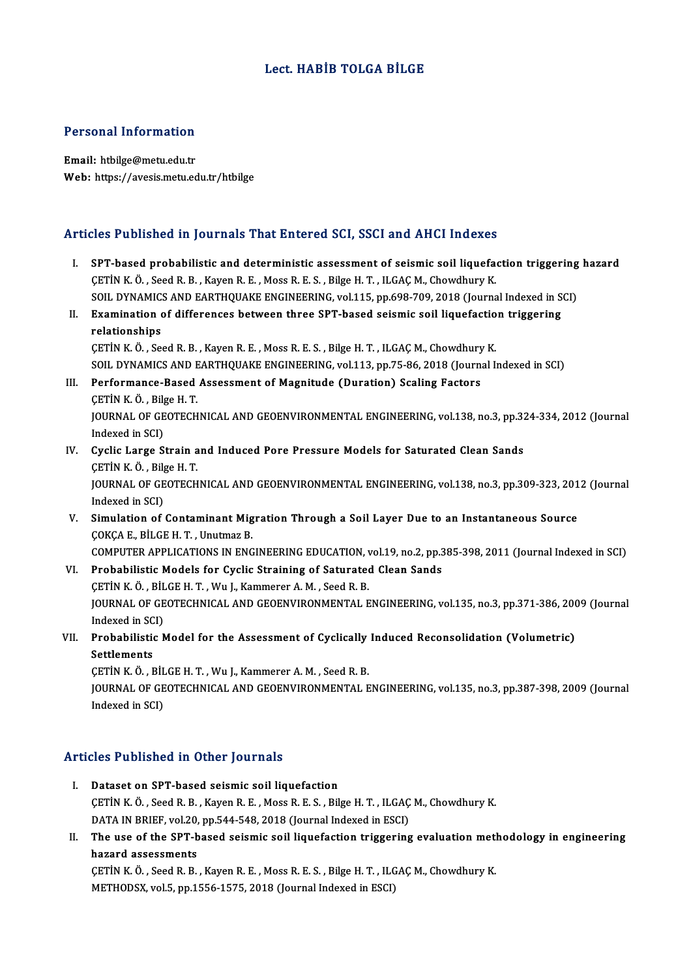### Lect.HABİB TOLGA BİLGE

### Personal Information

Email: htbilge@metu.edu.tr Web: https://avesis.metu.edu.tr/htbilge

### Articles Published in Journals That Entered SCI, SSCI and AHCI Indexes

- The Published in Journals That Entered SCI, SSCI and AHCI Indexes<br>I. SPT-based probabilistic and deterministic assessment of seismic soil liquefaction triggering hazard<br>CETIN K.Ö. Soed B.B. Kayar B.E. Moss B.E.S. Bilge H.T SPT-based probabilistic and deterministic assessment of seismic soil liquefactory of the R.B. , Kayen R.E. , Moss R.E. S., Bilge H.T. , ILGAÇ M., Chowdhury K.<br>CETİN K.Ö., Seed R.B., Kayen R.E., Moss R.E. S., Bilge H.T., IL CETIN K. Ö. , Seed R. B. , Kayen R. E. , Moss R. E. S. , Bilge H. T. , ILGAC M., Chowdhury K.<br>SOIL DYNAMICS AND EARTHQUAKE ENGINEERING, vol.115, pp.698-709, 2018 (Journal Indexed in SCI) CETIN K. Ö., Seed R. B., Kayen R. E., Moss R. E. S., Bilge H. T., ILGAC M., Chowdhury K.<br>SOIL DYNAMICS AND EARTHQUAKE ENGINEERING, vol.115, pp.698-709, 2018 (Journal Indexed in S<br>II. Examination of differences between thre
- SOIL DYNAMIC:<br>Examination<br>relationships<br>CETIN K Ö SO Examination of differences between three SPT-based seismic soil liquefactio<br>relationships<br>CETİN K.Ö., Seed R.B., Kayen R.E., Moss R.E.S., Bilge H.T., ILGAÇ M., Chowdhury K.<br>SOU, DVNAMICS AND FARTHOUAKE ENCINEERING, vol.112

relationships<br>CETİN K. Ö. , Seed R. B. , Kayen R. E. , Moss R. E. S. , Bilge H. T. , ILGAÇ M., Chowdhury K.<br>SOIL DYNAMICS AND EARTHQUAKE ENGINEERING, vol.113, pp.75-86, 2018 (Journal Indexed in SCI)

### III. Performance-Based Assessment of Magnitude (Duration) Scaling Factors ÇETİNK.Ö. ,BilgeH.T. Performance-Based Assessment of Magnitude (Duration) Scaling Factors<br>ÇETİN K. Ö. , Bilge H. T.<br>JOURNAL OF GEOTECHNICAL AND GEOENVIRONMENTAL ENGINEERING, vol.138, no.3, pp.324-334, 2012 (Journal<br>Indeved in SCD CETIN K. Ö. , Bilg<br>JOURNAL OF GE<br>Indexed in SCI)<br>Cyclis Large S JOURNAL OF GEOTECHNICAL AND GEOENVIRONMENTAL ENGINEERING, vol.138, no.3, pp.32<br>Indexed in SCI)<br>IV. Cyclic Large Strain and Induced Pore Pressure Models for Saturated Clean Sands<br>CETIN K.Ö. Bilge H.T.

- Indexed in SCI)<br>IV. Cyclic Large Strain and Induced Pore Pressure Models for Saturated Clean Sands<br>CETİN K.Ö., Bilge H.T. Cyclic Large Strain and Induced Pore Pressure Models for Saturated Clean Sands<br>ÇETİN K. Ö. , Bilge H. T.<br>JOURNAL OF GEOTECHNICAL AND GEOENVIRONMENTAL ENGINEERING, vol.138, no.3, pp.309-323, 2012 (Journal<br>Indeved in SCD. CETIN K. Ö. , Bilg<br>JOURNAL OF GE<br>Indexed in SCI)<br>Simulation of
- JOURNAL OF GEOTECHNICAL AND GEOENVIRONMENTAL ENGINEERING, vol.138, no.3, pp.309-323, 201<br>Indexed in SCI)<br>V. Simulation of Contaminant Migration Through a Soil Layer Due to an Instantaneous Source<br>COKCA E. PU.CE.H. T. Unutm Indexed in SCI)<br>V. Simulation of Contaminant Migration Through a Soil Layer Due to an Instantaneous Source<br>COKÇA E., BİLGE H. T. , Unutmaz B. Simulation of Contaminant Migration Through a Soil Layer Due to an Instantaneous Source<br>ÇOKÇA E., BİLGE H. T. , Unutmaz B.<br>COMPUTER APPLICATIONS IN ENGINEERING EDUCATION, vol.19, no.2, pp.385-398, 2011 (Journal Indexed in COKÇA E., BİLGE H. T. , Unutmaz B.<br>COMPUTER APPLICATIONS IN ENGINEERING EDUCATION, vol.19, no.2, pp.3<br>VI. Probabilistic Models for Cyclic Straining of Saturated Clean Sands<br>CETIN K. Ö. PUCE H. T. Wu J. Kemmerer A. M. Seed

COMPUTER APPLICATIONS IN ENGINEERING EDUCATION, v<br>Probabilistic Models for Cyclic Straining of Saturate<br>CETİN K.Ö., BİLGE H.T., Wu J., Kammerer A.M., Seed R. B.<br>JOUPNAL OF CEOTECHNICAL AND CEOENVIRONMENTAL E Probabilistic Models for Cyclic Straining of Saturated Clean Sands<br>ÇETİN K. Ö. , BİLGE H. T. , Wu J., Kammerer A. M. , Seed R. B.<br>JOURNAL OF GEOTECHNICAL AND GEOENVIRONMENTAL ENGINEERING, vol.135, no.3, pp.371-386, 2009 (J CETIN K. Ö. , BIL<br>JOURNAL OF GE<br>Indexed in SCI)<br>Probabilistis A JOURNAL OF GEOTECHNICAL AND GEOENVIRONMENTAL ENGINEERING, vol.135, no.3, pp.371-386, 200<br>Indexed in SCI)<br>VII. Probabilistic Model for the Assessment of Cyclically Induced Reconsolidation (Volumetric)<br>Settlements

## Indexed in SC<br><mark>Probabilistic</mark><br>Settlements<br>CETIN K Ö - E Probabilistic Model for the Assessment of Cyclically<br>Settlements<br>ÇETİN K.Ö., BİLGE H. T., Wu J., Kammerer A. M., Seed R. B.<br>JOUPMAL OF CEOTECHNICAL AND CEOENWIRONMENTAL E

Settlements<br>ÇETİN K. Ö. , BİLGE H. T. , Wu J., Kammerer A. M. , Seed R. B.<br>JOURNAL OF GEOTECHNICAL AND GEOENVIRONMENTAL ENGINEERING, vol.135, no.3, pp.387-398, 2009 (Journal Indexed in SCI)

### Articles Published in Other Journals

- I. Dataset on SPT-based seismic soil liquefaction CET I RESIDENCE IN CENCT JOUTHLIS<br>Dataset on SPT-based seismic soil liquefaction<br>CETİN K.Ö., Seed R.B., Kayen R.E., Moss R.E.S., Bilge H.T., ILGAÇ M., Chowdhury K.<br>DATA IN PRIEE .vol 30 nn 544 549 3018 (Journal Indoved in Dataset on SPT-based seismic soil liquefaction<br>ÇETİN K. Ö. , Seed R. B. , Kayen R. E. , Moss R. E. S. , Bilge H. T. , ILGAÇ<br>DATA IN BRIEF, vol.20, pp.544-548, 2018 (Journal Indexed in ESCI)<br>The use of the SPT based seismis
- CETIN K. Ö., Seed R. B., Kayen R. E., Moss R. E. S., Bilge H. T., ILGAC M., Chowdhury K.<br>DATA IN BRIEF, vol.20, pp.544-548, 2018 (Journal Indexed in ESCI)<br>II. The use of the SPT-based seismic soil liquefaction triggering e DATA IN BRIEF, vol.20, pp.544-548, 2018 (Journal Indexed in ESCI)<br>The use of the SPT-based seismic soil liquefaction triggering evaluation meth<br>hazard assessments<br>CETIN K. Ö., Seed R. B., Kayen R. E., Moss R. E. S., Bilge The use of the SPT-based seismic soil liquefaction triggering evaluation meth<br>hazard assessments<br>ÇETİN K.Ö., Seed R.B., Kayen R.E., Moss R.E.S., Bilge H.T., ILGAÇ M., Chowdhury K.<br>METHODSY vel 5 nn 1556 1575-2019 (Journal

METHODSX, vol.5, pp.1556-1575, 2018 (Journal Indexed in ESCI)